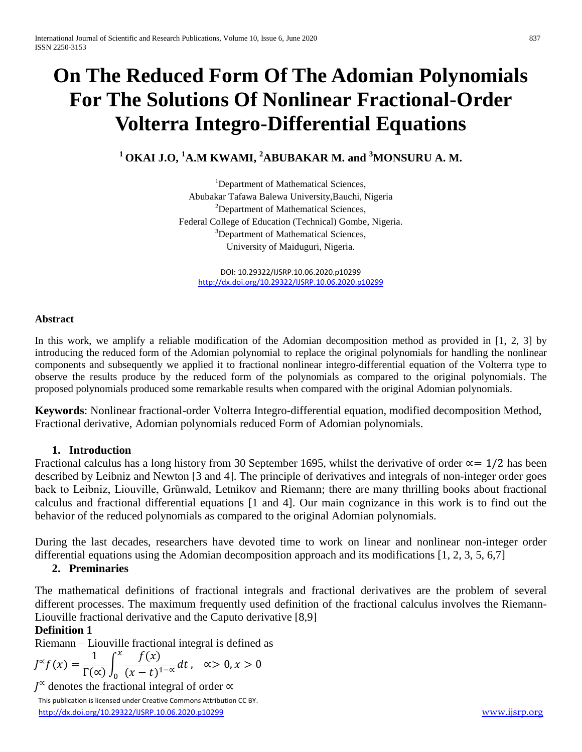# **On The Reduced Form Of The Adomian Polynomials For The Solutions Of Nonlinear Fractional-Order Volterra Integro-Differential Equations**

# **<sup>1</sup>OKAI J.O, <sup>1</sup>A.M KWAMI, <sup>2</sup>ABUBAKAR M. and <sup>3</sup>MONSURU A. M.**

<sup>1</sup>Department of Mathematical Sciences, Abubakar Tafawa Balewa University,Bauchi, Nigeria <sup>2</sup>Department of Mathematical Sciences, Federal College of Education (Technical) Gombe, Nigeria. <sup>3</sup>Department of Mathematical Sciences, University of Maiduguri, Nigeria.

DOI: 10.29322/IJSRP.10.06.2020.p10299 <http://dx.doi.org/10.29322/IJSRP.10.06.2020.p10299>

#### **Abstract**

In this work, we amplify a reliable modification of the Adomian decomposition method as provided in [1, 2, 3] by introducing the reduced form of the Adomian polynomial to replace the original polynomials for handling the nonlinear components and subsequently we applied it to fractional nonlinear integro-differential equation of the Volterra type to observe the results produce by the reduced form of the polynomials as compared to the original polynomials. The proposed polynomials produced some remarkable results when compared with the original Adomian polynomials.

**Keywords**: Nonlinear fractional-order Volterra Integro-differential equation, modified decomposition Method, Fractional derivative, Adomian polynomials reduced Form of Adomian polynomials.

#### **1. Introduction**

Fractional calculus has a long history from 30 September 1695, whilst the derivative of order  $\alpha = 1/2$  has been described by Leibniz and Newton [3 and 4]. The principle of derivatives and integrals of non-integer order goes back to Leibniz, Liouville, Grünwald, Letnikov and Riemann; there are many thrilling books about fractional calculus and fractional differential equations [1 and 4]. Our main cognizance in this work is to find out the behavior of the reduced polynomials as compared to the original Adomian polynomials.

During the last decades, researchers have devoted time to work on linear and nonlinear non-integer order differential equations using the Adomian decomposition approach and its modifications [1, 2, 3, 5, 6,7]

# **2. Preminaries**

The mathematical definitions of fractional integrals and fractional derivatives are the problem of several different processes. The maximum frequently used definition of the fractional calculus involves the Riemann-Liouville fractional derivative and the Caputo derivative [8,9]

#### **Definition 1**

Riemann – Liouville fractional integral is defined as

$$
J^{\infty}f(x) = \frac{1}{\Gamma(\infty)} \int_0^x \frac{f(x)}{(x-t)^{1-\alpha}} dt, \quad \alpha > 0, x > 0
$$

<sup>∝</sup> denotes the fractional integral of order ∝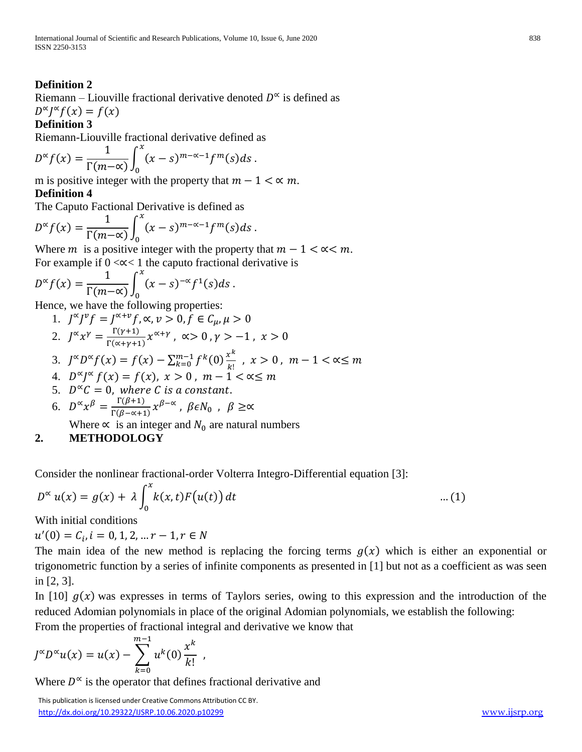# **Definition 2**

Riemann – Liouville fractional derivative denoted  $D^{\infty}$  is defined as  $D^{\alpha}J^{\alpha}f(x) = f(x)$ 

#### **Definition 3**

Riemann-Liouville fractional derivative defined as

$$
D^{\alpha} f(x) = \frac{1}{\Gamma(m-\alpha)} \int_0^x (x-s)^{m-\alpha-1} f^m(s) ds.
$$

m is positive integer with the property that  $m - 1 < \alpha$  m.

#### **Definition 4**

The Caputo Factional Derivative is defined as

$$
D^{\alpha} f(x) = \frac{1}{\Gamma(m-\alpha)} \int_0^x (x-s)^{m-\alpha-1} f^m(s) ds.
$$

Where *m* is a positive integer with the property that  $m - 1 < \alpha < m$ . For example if  $0 \ll \lt 1$  the caputo fractional derivative is

$$
D^{\alpha} f(x) = \frac{1}{\Gamma(m-\alpha)} \int_0^x (x-s)^{-\alpha} f^1(s) ds.
$$

Hence, we have the following properties:

1. 
$$
J^{\alpha}J^{\nu}f = J^{\alpha+\nu}f, \alpha, \nu > 0, f \in C_{\mu}, \mu > 0
$$
  
2. 
$$
J^{\alpha}x^{\gamma} = \frac{\Gamma(\gamma+1)}{\Gamma(\alpha+\gamma+1)}x^{\alpha+\gamma}, \alpha > 0, \gamma > -1, x > 0
$$

3. 
$$
J^{\alpha}D^{\alpha}f(x) = f(x) - \sum_{k=0}^{m-1} f^k(0) \frac{x^k}{k!}, x > 0, m-1 < \alpha \le m
$$

- 4.  $D^{\alpha} J^{\alpha} f(x) = f(x), x > 0, m 1 < \alpha \le m$
- 5.  $D^{\infty}C = 0$ , where C is a constant.
- 6.  $D^{\alpha} x^{\beta} = \frac{\Gamma(\beta+1)}{\Gamma(\beta+1)}$  $\frac{\Gamma(\beta+1)}{\Gamma(\beta-\alpha+1)}$   $\chi^{\beta-\alpha}$ , βε $N_0$ , β  $\geq \alpha$

Where  $\propto$  is an integer and  $N_0$  are natural numbers

# **2. METHODOLOGY**

Consider the nonlinear fractional-order Volterra Integro-Differential equation [3]:

$$
D^{\infty} u(x) = g(x) + \lambda \int_0^x k(x, t) F(u(t)) dt \qquad \qquad \dots (1)
$$

With initial conditions

 $u'(0) = C_i, i = 0, 1, 2, ... r - 1, r \in N$ 

The main idea of the new method is replacing the forcing terms  $g(x)$  which is either an exponential or trigonometric function by a series of infinite components as presented in [1] but not as a coefficient as was seen in [2, 3].

In [10]  $g(x)$  was expresses in terms of Taylors series, owing to this expression and the introduction of the reduced Adomian polynomials in place of the original Adomian polynomials, we establish the following:

From the properties of fractional integral and derivative we know that

$$
J^{\infty}D^{\infty}u(x) = u(x) - \sum_{k=0}^{m-1} u^{k}(0) \frac{x^{k}}{k!},
$$

Where  $D^{\infty}$  is the operator that defines fractional derivative and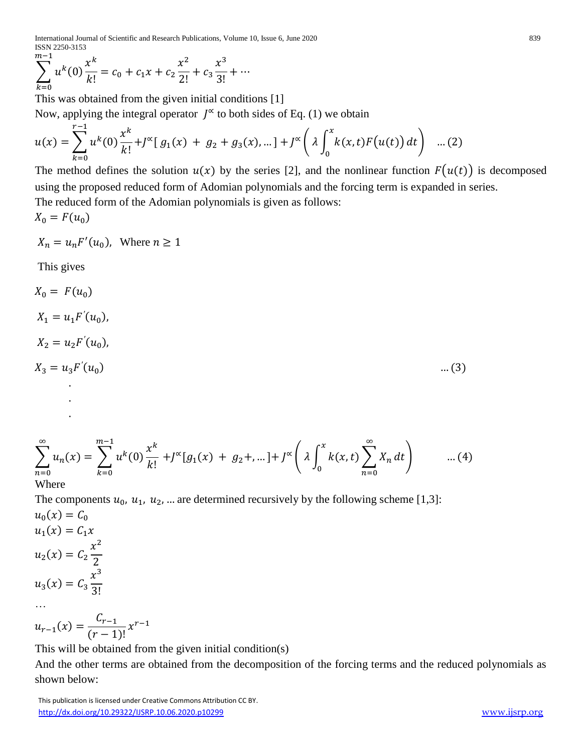International Journal of Scientific and Research Publications, Volume 10, Issue 6, June 2020 839 ISSN 2250-3153

$$
\sum_{k=0}^{m-1} u^k(0) \frac{x^k}{k!} = c_0 + c_1 x + c_2 \frac{x^2}{2!} + c_3 \frac{x^3}{3!} + \cdots
$$

This was obtained from the given initial conditions [1] Now, applying the integral operator  $\int^{\infty}$  to both sides of Eq. (1) we obtain

$$
u(x) = \sum_{k=0}^{r-1} u^k(0) \frac{x^k}{k!} + J^{\infty}[g_1(x) + g_2 + g_3(x), \dots] + J^{\infty}\left(\lambda \int_0^x k(x, t) F(u(t)) dt\right) \dots (2)
$$

The method defines the solution  $u(x)$  by the series [2], and the nonlinear function  $F(u(t))$  is decomposed using the proposed reduced form of Adomian polynomials and the forcing term is expanded in series. The reduced form of the Adomian polynomials is given as follows:  $X_0 = F(u_0)$ 

$$
X_n = u_n F'(u_0), \text{ Where } n \ge 1
$$

This gives

$$
X_0 = F(u_0)
$$
  
\n
$$
X_1 = u_1 F'(u_0),
$$
  
\n
$$
X_2 = u_2 F'(u_0),
$$
  
\n
$$
X_3 = u_3 F'(u_0)
$$
  
\n... (3)  
\n
$$
\sum_{n=0}^{\infty} u_n(x) = \sum_{k=0}^{m-1} u^k(0) \frac{x^k}{k!} + J^{\infty}[g_1(x) + g_2+, \dots] + J^{\infty}\left(\lambda \int_0^x k(x, t) \sum_{n=0}^{\infty} X_n dt\right)
$$
 ... (4)

Where

The components  $u_0$ ,  $u_1$ ,  $u_2$ , ... are determined recursively by the following scheme [1,3]:

$$
u_0(x) = C_0
$$
  
\n
$$
u_1(x) = C_1 x
$$
  
\n
$$
u_2(x) = C_2 \frac{x^2}{2}
$$
  
\n
$$
u_3(x) = C_3 \frac{x^3}{3!}
$$
  
\n...  
\n
$$
u_{r-1}(x) = \frac{C_{r-1}}{(r-1)!} x^{r-1}
$$

This will be obtained from the given initial condition(s)

And the other terms are obtained from the decomposition of the forcing terms and the reduced polynomials as shown below: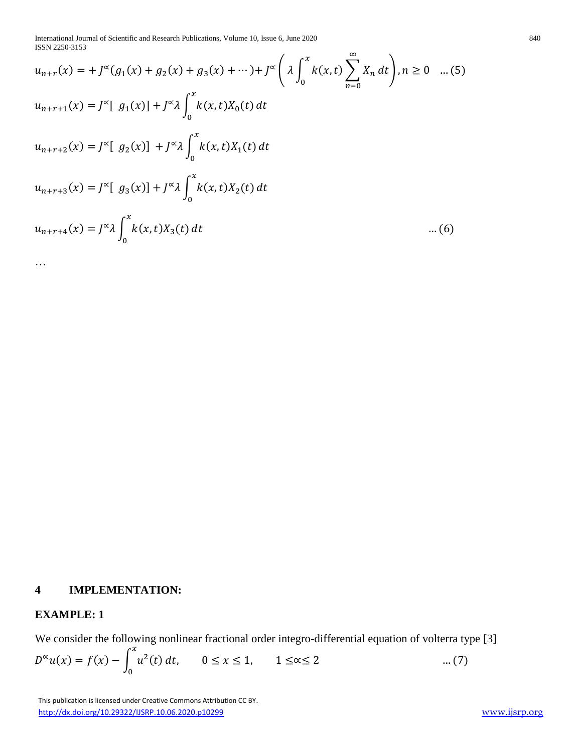International Journal of Scientific and Research Publications, Volume 10, Issue 6, June 2020 840 ISSN 2250-3153

$$
u_{n+r}(x) = +J^{\infty}(g_1(x) + g_2(x) + g_3(x) + \cdots) + J^{\infty}\left(\lambda \int_0^x k(x,t) \sum_{n=0}^{\infty} X_n dt\right), n \ge 0 \quad ...(5)
$$
  
\n
$$
u_{n+r+1}(x) = J^{\infty} [g_1(x)] + J^{\infty} \lambda \int_0^x k(x,t)X_0(t) dt
$$
  
\n
$$
u_{n+r+2}(x) = J^{\infty} [g_2(x)] + J^{\infty} \lambda \int_0^x k(x,t)X_1(t) dt
$$
  
\n
$$
u_{n+r+3}(x) = J^{\infty} [g_3(x)] + J^{\infty} \lambda \int_0^x k(x,t)X_2(t) dt
$$
  
\n
$$
u_{n+r+4}(x) = J^{\infty} \lambda \int_0^x k(x,t)X_3(t) dt \qquad ...(6)
$$

…

#### **4 IMPLEMENTATION:**

# **EXAMPLE: 1**

We consider the following nonlinear fractional order integro-differential equation of volterra type [3]  $\int x$ 

$$
D^{\infty}u(x) = f(x) - \int_0^{\infty} u^2(t) dt, \qquad 0 \le x \le 1, \qquad 1 \le x \le 2 \qquad \qquad \dots (7)
$$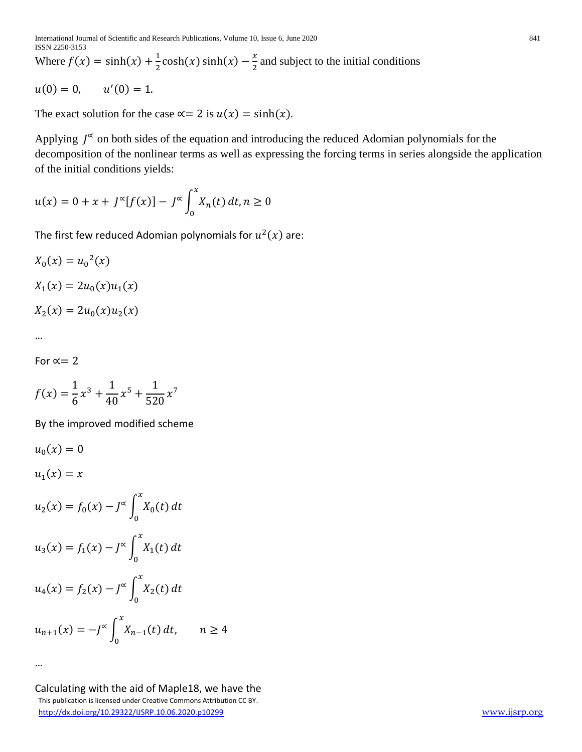Where  $f(x) = \sinh(x) + \frac{1}{2}$  $\frac{1}{2} \cosh(x) \sinh(x) - \frac{x}{2}$  $\frac{\pi}{2}$  and subject to the initial conditions

$$
u(0) = 0, \qquad u'(0) = 1.
$$

The exact solution for the case  $\alpha = 2$  is  $u(x) = \sinh(x)$ .

Applying  $J^{\infty}$  on both sides of the equation and introducing the reduced Adomian polynomials for the decomposition of the nonlinear terms as well as expressing the forcing terms in series alongside the application of the initial conditions yields:

$$
u(x) = 0 + x + J^{\infty}[f(x)] - J^{\infty}\int_0^x X_n(t) dt, n \ge 0
$$

The first few reduced Adomian polynomials for  $u^2(x)$  are:

$$
X_0(x) = u_0^2(x)
$$
  

$$
X_1(x) = 2u_0(x)u_1(x)
$$

$$
X_2(x) = 2u_0(x)u_2(x)
$$

…

…

For 
$$
\alpha = 2
$$

$$
f(x) = \frac{1}{6}x^3 + \frac{1}{40}x^5 + \frac{1}{520}x^7
$$

By the improved modified scheme

$$
u_0(x) = 0
$$
  
\n
$$
u_1(x) = x
$$
  
\n
$$
u_2(x) = f_0(x) - J^{\infty} \int_0^x X_0(t) dt
$$
  
\n
$$
u_3(x) = f_1(x) - J^{\infty} \int_0^x X_1(t) dt
$$
  
\n
$$
u_4(x) = f_2(x) - J^{\infty} \int_0^x X_2(t) dt
$$
  
\n
$$
u_{n+1}(x) = -J^{\infty} \int_0^x X_{n-1}(t) dt, \quad n \ge 4
$$

 This publication is licensed under Creative Commons Attribution CC BY. <http://dx.doi.org/10.29322/IJSRP.10.06.2020.p10299> [www.ijsrp.org](http://ijsrp.org/) Calculating with the aid of Maple18, we have the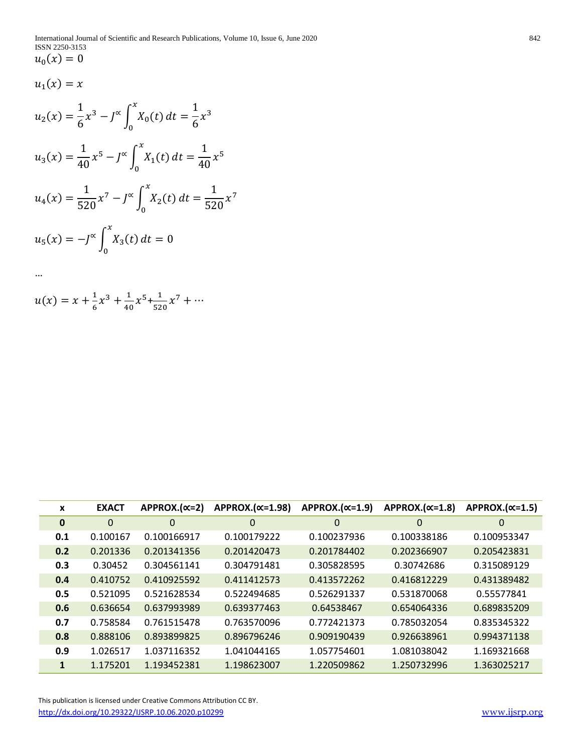$$
u_1(x)=x
$$

…

$$
u_2(x) = \frac{1}{6}x^3 - J^{\infty} \int_0^x X_0(t) dt = \frac{1}{6}x^3
$$
  

$$
u_3(x) = \frac{1}{40}x^5 - J^{\infty} \int_0^x X_1(t) dt = \frac{1}{40}x^5
$$
  

$$
u_4(x) = \frac{1}{520}x^7 - J^{\infty} \int_0^x X_2(t) dt = \frac{1}{520}x^7
$$

$$
u_5(x) = -J^{\infty} \int_0^x X_3(t) dt = 0
$$

$$
u(x) = x + \frac{1}{6}x^3 + \frac{1}{40}x^5 + \frac{1}{520}x^7 + \cdots
$$

| X        | <b>EXACT</b> | $APPROX.(x=2)$ | $APPROX.(x=1.98)$ | $APPROX.(x=1.9)$ | $APPROX.(x=1.8)$ | $APPROX.(x=1.5)$ |
|----------|--------------|----------------|-------------------|------------------|------------------|------------------|
| $\bf{0}$ | $\mathbf 0$  | $\mathbf 0$    | 0                 | 0                | $\mathbf 0$      | $\mathbf 0$      |
| 0.1      | 0.100167     | 0.100166917    | 0.100179222       | 0.100237936      | 0.100338186      | 0.100953347      |
| 0.2      | 0.201336     | 0.201341356    | 0.201420473       | 0.201784402      | 0.202366907      | 0.205423831      |
| 0.3      | 0.30452      | 0.304561141    | 0.304791481       | 0.305828595      | 0.30742686       | 0.315089129      |
| 0.4      | 0.410752     | 0.410925592    | 0.411412573       | 0.413572262      | 0.416812229      | 0.431389482      |
| 0.5      | 0.521095     | 0.521628534    | 0.522494685       | 0.526291337      | 0.531870068      | 0.55577841       |
| 0.6      | 0.636654     | 0.637993989    | 0.639377463       | 0.64538467       | 0.654064336      | 0.689835209      |
| 0.7      | 0.758584     | 0.761515478    | 0.763570096       | 0.772421373      | 0.785032054      | 0.835345322      |
| 0.8      | 0.888106     | 0.893899825    | 0.896796246       | 0.909190439      | 0.926638961      | 0.994371138      |
| 0.9      | 1.026517     | 1.037116352    | 1.041044165       | 1.057754601      | 1.081038042      | 1.169321668      |
| 1        | 1.175201     | 1.193452381    | 1.198623007       | 1.220509862      | 1.250732996      | 1.363025217      |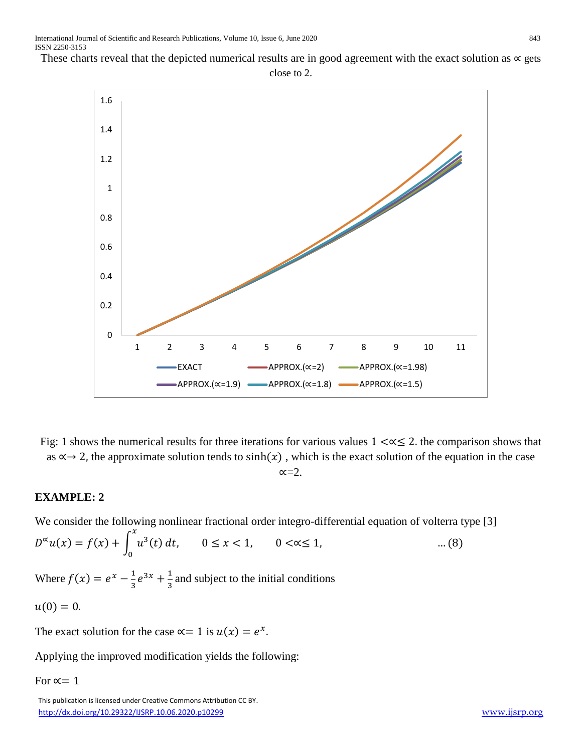These charts reveal that the depicted numerical results are in good agreement with the exact solution as  $\alpha$  gets



Fig: 1 shows the numerical results for three iterations for various values  $1 < \alpha \leq 2$ . the comparison shows that as  $\alpha \rightarrow 2$ , the approximate solution tends to sinh(x), which is the exact solution of the equation in the case  $\alpha=2$ .

# **EXAMPLE: 2**

We consider the following nonlinear fractional order integro-differential equation of volterra type [3]

 $D^{\infty}u(x) = f(x) + |u^{3}(t)|$  $\mathcal{X}$ 0 dt,  $0 \le x < 1$ ,  $0 < \alpha \le 1$ , ... (8) Where  $f(x) = e^x - \frac{1}{x}$  $\frac{1}{3}e^{3x} + \frac{1}{3}$  $\frac{1}{3}$  and subject to the initial conditions

$$
u(0)=0.
$$

The exact solution for the case  $\alpha = 1$  is  $u(x) = e^x$ .

Applying the improved modification yields the following:

For  $\alpha = 1$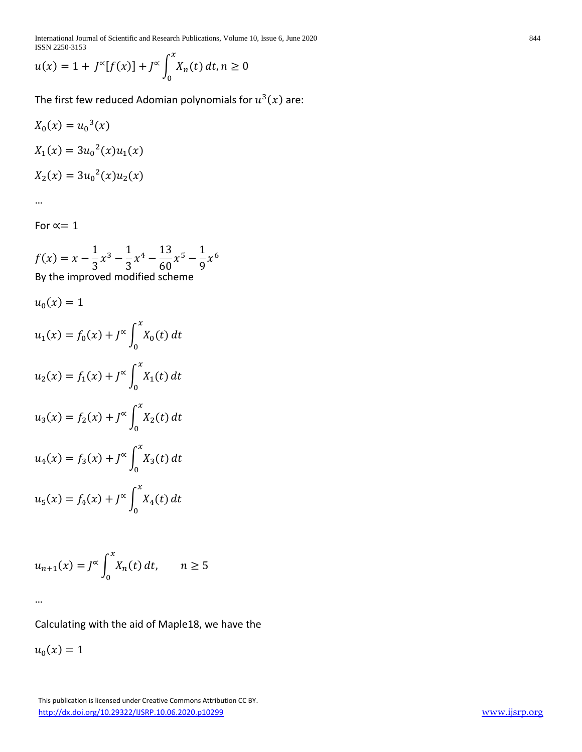International Journal of Scientific and Research Publications, Volume 10, Issue 6, June 2020 844 ISSN 2250-3153  $\overline{a}$ 

$$
u(x) = 1 + J^{\infty}[f(x)] + J^{\infty}\int_{0}^{x} X_n(t) dt, n \ge 0
$$

The first few reduced Adomian polynomials for  $u^3(x)$  are:

$$
X_0(x) = u_0^3(x)
$$
  
\n
$$
X_1(x) = 3u_0^2(x)u_1(x)
$$
  
\n
$$
X_2(x) = 3u_0^2(x)u_2(x)
$$

…

For  $\propto$  = 1

$$
f(x) = x - \frac{1}{3}x^3 - \frac{1}{3}x^4 - \frac{13}{60}x^5 - \frac{1}{9}x^6
$$
  
By the improved modified scheme

$$
u_0(x) = 1
$$
  
\n
$$
u_1(x) = f_0(x) + J^{\infty} \int_0^x X_0(t) dt
$$
  
\n
$$
u_2(x) = f_1(x) + J^{\infty} \int_0^x X_1(t) dt
$$
  
\n
$$
u_3(x) = f_2(x) + J^{\infty} \int_0^x X_2(t) dt
$$
  
\n
$$
u_4(x) = f_3(x) + J^{\infty} \int_0^x X_3(t) dt
$$
  
\n
$$
u_5(x) = f_4(x) + J^{\infty} \int_0^x X_4(t) dt
$$

$$
u_{n+1}(x) = J^{\infty} \int_0^x X_n(t) dt, \qquad n \ge 5
$$

…

Calculating with the aid of Maple18, we have the

 $u_0(x) = 1$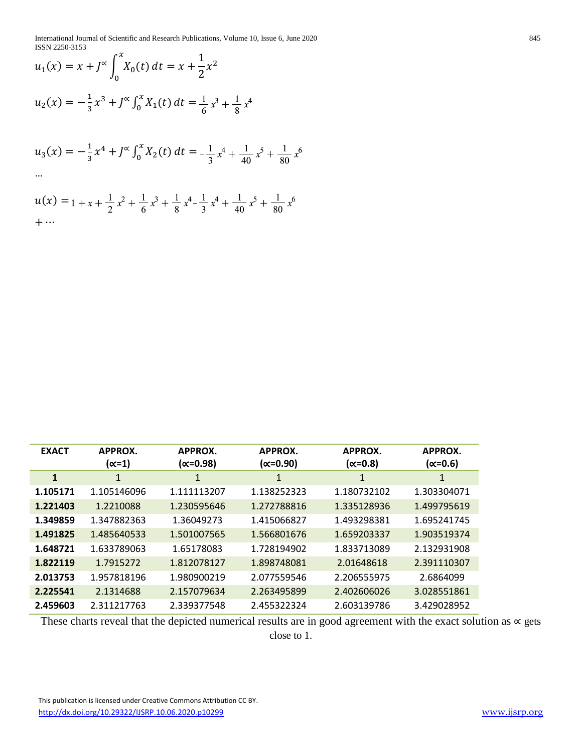International Journal of Scientific and Research Publications, Volume 10, Issue 6, June 2020 845 ISSN 2250-3153

$$
u_1(x) = x + J^{\alpha} \int_0^x X_0(t) dt = x + \frac{1}{2}x^2
$$
  

$$
u_2(x) = -\frac{1}{3}x^3 + J^{\alpha} \int_0^x X_1(t) dt = \frac{1}{6}x^3 + \frac{1}{8}x^4
$$
  

$$
u_3(x) = -\frac{1}{3}x^4 + J^{\alpha} \int_0^x X_2(t) dt = -\frac{1}{3}x^4 + \frac{1}{40}x^5 + \frac{1}{80}x^6
$$
  
...

$$
u(x) = 1 + x + \frac{1}{2}x^2 + \frac{1}{6}x^3 + \frac{1}{8}x^4 - \frac{1}{3}x^4 + \frac{1}{40}x^5 + \frac{1}{80}x^6
$$
  
+...

| <b>EXACT</b> | APPROX.<br>(∝=1) | APPROX.<br>(∝=0.98) | APPROX.<br>(∝=0.90) | APPROX.<br>$(\propto=0.8)$ | APPROX.<br>(∝=0.6) |
|--------------|------------------|---------------------|---------------------|----------------------------|--------------------|
| $\mathbf{1}$ | 1                | 1                   | 1                   | 1                          | 1                  |
| 1.105171     | 1.105146096      | 1.111113207         | 1.138252323         | 1.180732102                | 1.303304071        |
| 1.221403     | 1.2210088        | 1.230595646         | 1.272788816         | 1.335128936                | 1.499795619        |
| 1.349859     | 1.347882363      | 1.36049273          | 1.415066827         | 1.493298381                | 1.695241745        |
| 1.491825     | 1.485640533      | 1.501007565         | 1.566801676         | 1.659203337                | 1.903519374        |
| 1.648721     | 1.633789063      | 1.65178083          | 1.728194902         | 1.833713089                | 2.132931908        |
| 1.822119     | 1.7915272        | 1.812078127         | 1.898748081         | 2.01648618                 | 2.391110307        |
| 2.013753     | 1.957818196      | 1.980900219         | 2.077559546         | 2.206555975                | 2.6864099          |
| 2.225541     | 2.1314688        | 2.157079634         | 2.263495899         | 2.402606026                | 3.028551861        |
| 2.459603     | 2.311217763      | 2.339377548         | 2.455322324         | 2.603139786                | 3.429028952        |

These charts reveal that the depicted numerical results are in good agreement with the exact solution as ∝ gets close to 1.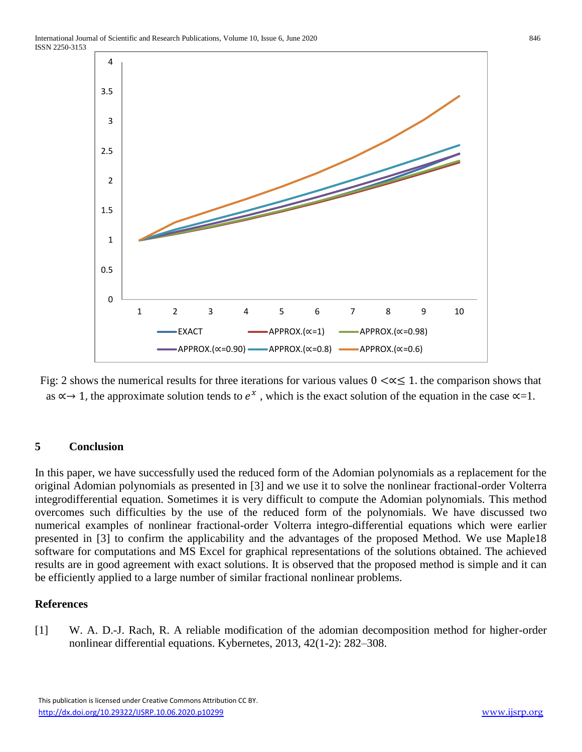

Fig: 2 shows the numerical results for three iterations for various values  $0 < \alpha \leq 1$ . the comparison shows that as  $\alpha \rightarrow 1$ , the approximate solution tends to  $e^x$ , which is the exact solution of the equation in the case  $\alpha = 1$ .

# **5 Conclusion**

In this paper, we have successfully used the reduced form of the Adomian polynomials as a replacement for the original Adomian polynomials as presented in [3] and we use it to solve the nonlinear fractional-order Volterra integrodifferential equation. Sometimes it is very difficult to compute the Adomian polynomials. This method overcomes such difficulties by the use of the reduced form of the polynomials. We have discussed two numerical examples of nonlinear fractional-order Volterra integro-differential equations which were earlier presented in [3] to confirm the applicability and the advantages of the proposed Method. We use Maple18 software for computations and MS Excel for graphical representations of the solutions obtained. The achieved results are in good agreement with exact solutions. It is observed that the proposed method is simple and it can be efficiently applied to a large number of similar fractional nonlinear problems.

#### **References**

[1] W. A. D.-J. Rach, R. A reliable modification of the adomian decomposition method for higher-order nonlinear differential equations. Kybernetes, 2013, 42(1-2): 282–308.